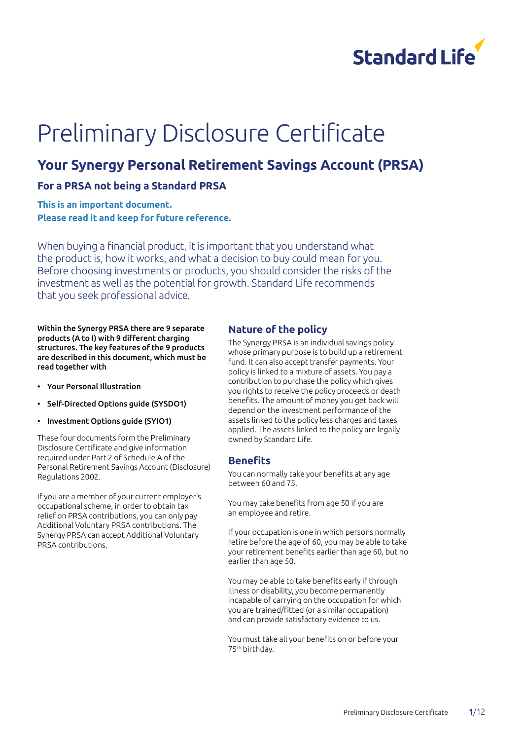

# Preliminary Disclosure Certificate

## **Your Synergy Personal Retirement Savings Account (PRSA)**

## **For a PRSA not being a Standard PRSA**

**This is an important document. Please read it and keep for future reference.**

When buying a financial product, it is important that you understand what the product is, how it works, and what a decision to buy could mean for you. Before choosing investments or products, you should consider the risks of the investment as well as the potential for growth. Standard Life recommends that you seek professional advice.

Within the Synergy PRSA there are 9 separate products (A to I) with 9 different charging structures. The key features of the 9 products are described in this document, which must be read together with

- Your Personal Illustration
- Self-Directed Options guide (SYSDO1)
- Investment Options guide (SYIO1)

These four documents form the Preliminary Disclosure Certificate and give information required under Part 2 of Schedule A of the Personal Retirement Savings Account (Disclosure) Regulations 2002.

If you are a member of your current employer's occupational scheme, in order to obtain tax relief on PRSA contributions, you can only pay Additional Voluntary PRSA contributions. The Synergy PRSA can accept Additional Voluntary PRSA contributions.

#### **Nature of the policy**

The Synergy PRSA is an individual savings policy whose primary purpose is to build up a retirement fund. It can also accept transfer payments. Your policy is linked to a mixture of assets. You pay a contribution to purchase the policy which gives you rights to receive the policy proceeds or death benefits. The amount of money you get back will depend on the investment performance of the assets linked to the policy less charges and taxes applied. The assets linked to the policy are legally owned by Standard Life.

#### **Benefits**

You can normally take your benefits at any age between 60 and 75.

You may take benefits from age 50 if you are an employee and retire.

If your occupation is one in which persons normally retire before the age of 60, you may be able to take your retirement benefits earlier than age 60, but no earlier than age 50.

You may be able to take benefits early if through illness or disability, you become permanently incapable of carrying on the occupation for which you are trained/fitted (or a similar occupation) and can provide satisfactory evidence to us.

You must take all your benefits on or before your 75th birthday.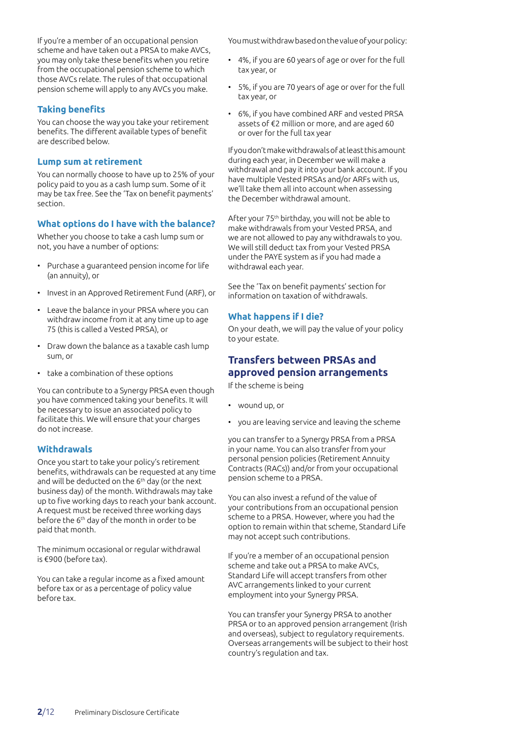If you're a member of an occupational pension scheme and have taken out a PRSA to make AVCs, you may only take these benefits when you retire from the occupational pension scheme to which those AVCs relate. The rules of that occupational pension scheme will apply to any AVCs you make.

#### **Taking benefits**

You can choose the way you take your retirement benefits. The different available types of benefit are described below.

#### **Lump sum at retirement**

You can normally choose to have up to 25% of your policy paid to you as a cash lump sum. Some of it may be tax free. See the 'Tax on benefit payments' section.

#### **What options do I have with the balance?**

Whether you choose to take a cash lump sum or not, you have a number of options:

- Purchase a guaranteed pension income for life (an annuity), or
- Invest in an Approved Retirement Fund (ARF), or
- Leave the balance in your PRSA where you can withdraw income from it at any time up to age 75 (this is called a Vested PRSA), or
- Draw down the balance as a taxable cash lump sum, or
- take a combination of these options

You can contribute to a Synergy PRSA even though you have commenced taking your benefits. It will be necessary to issue an associated policy to facilitate this. We will ensure that your charges do not increase.

#### **Withdrawals**

Once you start to take your policy's retirement benefits, withdrawals can be requested at any time and will be deducted on the 6<sup>th</sup> day (or the next business day) of the month. Withdrawals may take up to five working days to reach your bank account. A request must be received three working days before the 6th day of the month in order to be paid that month.

The minimum occasional or regular withdrawal is €900 (before tax).

You can take a regular income as a fixed amount before tax or as a percentage of policy value before tax.

You must withdraw based on the value of your policy:

- 4%, if you are 60 years of age or over for the full tax year, or
- 5%, if you are 70 years of age or over for the full tax year, or
- 6%, if you have combined ARF and vested PRSA assets of €2 million or more, and are aged 60 or over for the full tax year

If you don't make withdrawals of at least this amount during each year, in December we will make a withdrawal and pay it into your bank account. If you have multiple Vested PRSAs and/or ARFs with us, we'll take them all into account when assessing the December withdrawal amount.

After your 75th birthday, you will not be able to make withdrawals from your Vested PRSA, and we are not allowed to pay any withdrawals to you. We will still deduct tax from your Vested PRSA under the PAYE system as if you had made a withdrawal each year.

See the 'Tax on benefit payments' section for information on taxation of withdrawals.

#### **What happens if I die?**

On your death, we will pay the value of your policy to your estate.

## **Transfers between PRSAs and approved pension arrangements**

If the scheme is being

- wound up, or
- you are leaving service and leaving the scheme

you can transfer to a Synergy PRSA from a PRSA in your name. You can also transfer from your personal pension policies (Retirement Annuity Contracts (RACs)) and/or from your occupational pension scheme to a PRSA.

You can also invest a refund of the value of your contributions from an occupational pension scheme to a PRSA. However, where you had the option to remain within that scheme, Standard Life may not accept such contributions.

If you're a member of an occupational pension scheme and take out a PRSA to make AVCs, Standard Life will accept transfers from other AVC arrangements linked to your current employment into your Synergy PRSA.

You can transfer your Synergy PRSA to another PRSA or to an approved pension arrangement (Irish and overseas), subject to regulatory requirements. Overseas arrangements will be subject to their host country's regulation and tax.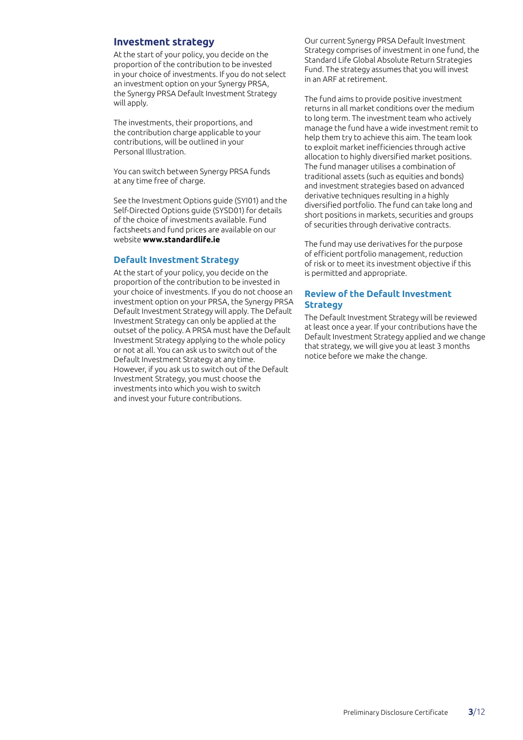#### **Investment strategy**

At the start of your policy, you decide on the proportion of the contribution to be invested in your choice of investments. If you do not select an investment option on your Synergy PRSA, the Synergy PRSA Default Investment Strategy will apply.

The investments, their proportions, and the contribution charge applicable to your contributions, will be outlined in your Personal Illustration.

You can switch between Synergy PRSA funds at any time free of charge.

See the Investment Options guide (SYI01) and the Self-Directed Options guide (SYSD01) for details of the choice of investments available. Fund factsheets and fund prices are available on our website **www.standardlife.ie**

#### **Default Investment Strategy**

At the start of your policy, you decide on the proportion of the contribution to be invested in your choice of investments. If you do not choose an investment option on your PRSA, the Synergy PRSA Default Investment Strategy will apply. The Default Investment Strategy can only be applied at the outset of the policy. A PRSA must have the Default Investment Strategy applying to the whole policy or not at all. You can ask us to switch out of the Default Investment Strategy at any time. However, if you ask us to switch out of the Default Investment Strategy, you must choose the investments into which you wish to switch and invest your future contributions.

Our current Synergy PRSA Default Investment Strategy comprises of investment in one fund, the Standard Life Global Absolute Return Strategies Fund. The strategy assumes that you will invest in an ARF at retirement.

The fund aims to provide positive investment returns in all market conditions over the medium to long term. The investment team who actively manage the fund have a wide investment remit to help them try to achieve this aim. The team look to exploit market inefficiencies through active allocation to highly diversified market positions. The fund manager utilises a combination of traditional assets (such as equities and bonds) and investment strategies based on advanced derivative techniques resulting in a highly diversified portfolio. The fund can take long and short positions in markets, securities and groups of securities through derivative contracts.

The fund may use derivatives for the purpose of efficient portfolio management, reduction of risk or to meet its investment objective if this is permitted and appropriate.

#### **Review of the Default Investment Strategy**

The Default Investment Strategy will be reviewed at least once a year. If your contributions have the Default Investment Strategy applied and we change that strategy, we will give you at least 3 months notice before we make the change.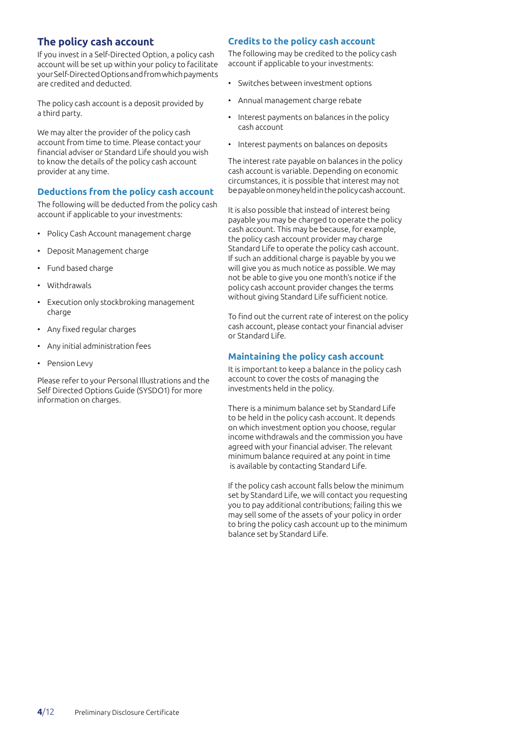## **The policy cash account**

If you invest in a Self-Directed Option, a policy cash account will be set up within your policy to facilitate your Self-Directed Options and from which payments are credited and deducted.

The policy cash account is a deposit provided by a third party.

We may alter the provider of the policy cash account from time to time. Please contact your financial adviser or Standard Life should you wish to know the details of the policy cash account provider at any time.

#### **Deductions from the policy cash account**

The following will be deducted from the policy cash account if applicable to your investments:

- Policy Cash Account management charge
- Deposit Management charge
- Fund based charge
- Withdrawals
- Execution only stockbroking management charge
- Any fixed regular charges
- Any initial administration fees
- Pension Levy

Please refer to your Personal Illustrations and the Self Directed Options Guide (SYSDO1) for more information on charges.

#### **Credits to the policy cash account**

The following may be credited to the policy cash account if applicable to your investments:

- Switches between investment options
- Annual management charge rebate
- Interest payments on balances in the policy cash account
- Interest payments on balances on deposits

The interest rate payable on balances in the policy cash account is variable. Depending on economic circumstances, it is possible that interest may not be payable on money held in the policy cash account.

It is also possible that instead of interest being payable you may be charged to operate the policy cash account. This may be because, for example, the policy cash account provider may charge Standard Life to operate the policy cash account. If such an additional charge is payable by you we will give you as much notice as possible. We may not be able to give you one month's notice if the policy cash account provider changes the terms without giving Standard Life sufficient notice.

To find out the current rate of interest on the policy cash account, please contact your financial adviser or Standard Life.

#### **Maintaining the policy cash account**

It is important to keep a balance in the policy cash account to cover the costs of managing the investments held in the policy.

There is a minimum balance set by Standard Life to be held in the policy cash account. It depends on which investment option you choose, regular income withdrawals and the commission you have agreed with your financial adviser. The relevant minimum balance required at any point in time is available by contacting Standard Life.

If the policy cash account falls below the minimum set by Standard Life, we will contact you requesting you to pay additional contributions; failing this we may sell some of the assets of your policy in order to bring the policy cash account up to the minimum balance set by Standard Life.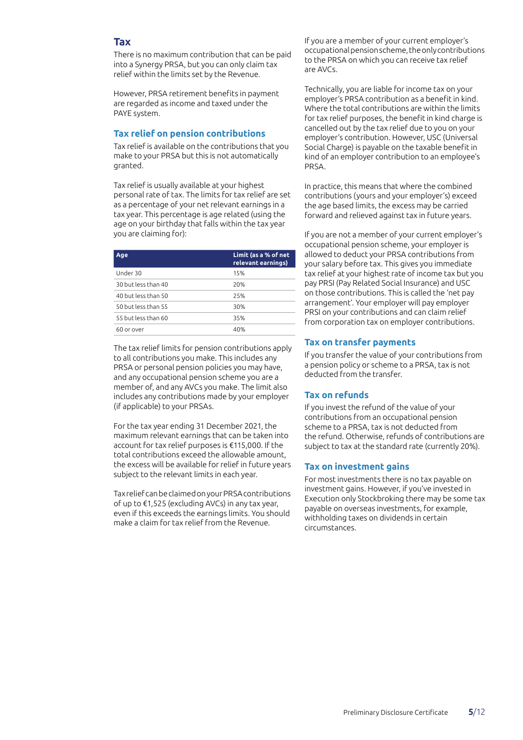#### **Tax**

There is no maximum contribution that can be paid into a Synergy PRSA, but you can only claim tax relief within the limits set by the Revenue.

However, PRSA retirement benefits in payment are regarded as income and taxed under the PAYE system.

#### **Tax relief on pension contributions**

Tax relief is available on the contributions that you make to your PRSA but this is not automatically granted.

Tax relief is usually available at your highest personal rate of tax. The limits for tax relief are set as a percentage of your net relevant earnings in a tax year. This percentage is age related (using the age on your birthday that falls within the tax year you are claiming for):

| Age                 | Limit (as a % of net<br>relevant earnings) |
|---------------------|--------------------------------------------|
| Under 30            | 15%                                        |
| 30 but less than 40 | 20%                                        |
| 40 but less than 50 | 25%                                        |
| 50 but less than 55 | 30%                                        |
| 55 but less than 60 | 35%                                        |
| 60 or over          | 40%                                        |

The tax relief limits for pension contributions apply to all contributions you make. This includes any PRSA or personal pension policies you may have, and any occupational pension scheme you are a member of, and any AVCs you make. The limit also includes any contributions made by your employer (if applicable) to your PRSAs.

For the tax year ending 31 December 2021, the maximum relevant earnings that can be taken into account for tax relief purposes is €115,000. If the total contributions exceed the allowable amount, the excess will be available for relief in future years subject to the relevant limits in each year.

Tax relief can be claimed on your PRSA contributions of up to €1,525 (excluding AVCs) in any tax year, even if this exceeds the earnings limits. You should make a claim for tax relief from the Revenue.

If you are a member of your current employer's occupational pension scheme, the only contributions to the PRSA on which you can receive tax relief are AVCs.

Technically, you are liable for income tax on your employer's PRSA contribution as a benefit in kind. Where the total contributions are within the limits for tax relief purposes, the benefit in kind charge is cancelled out by the tax relief due to you on your employer's contribution. However, USC (Universal Social Charge) is payable on the taxable benefit in kind of an employer contribution to an employee's PRSA.

In practice, this means that where the combined contributions (yours and your employer's) exceed the age based limits, the excess may be carried forward and relieved against tax in future years.

If you are not a member of your current employer's occupational pension scheme, your employer is allowed to deduct your PRSA contributions from your salary before tax. This gives you immediate tax relief at your highest rate of income tax but you pay PRSI (Pay Related Social Insurance) and USC on those contributions. This is called the 'net pay arrangement'. Your employer will pay employer PRSI on your contributions and can claim relief from corporation tax on employer contributions.

#### **Tax on transfer payments**

If you transfer the value of your contributions from a pension policy or scheme to a PRSA, tax is not deducted from the transfer.

#### **Tax on refunds**

If you invest the refund of the value of your contributions from an occupational pension scheme to a PRSA, tax is not deducted from the refund. Otherwise, refunds of contributions are subject to tax at the standard rate (currently 20%).

#### **Tax on investment gains**

For most investments there is no tax payable on investment gains. However, if you've invested in Execution only Stockbroking there may be some tax payable on overseas investments, for example, withholding taxes on dividends in certain circumstances.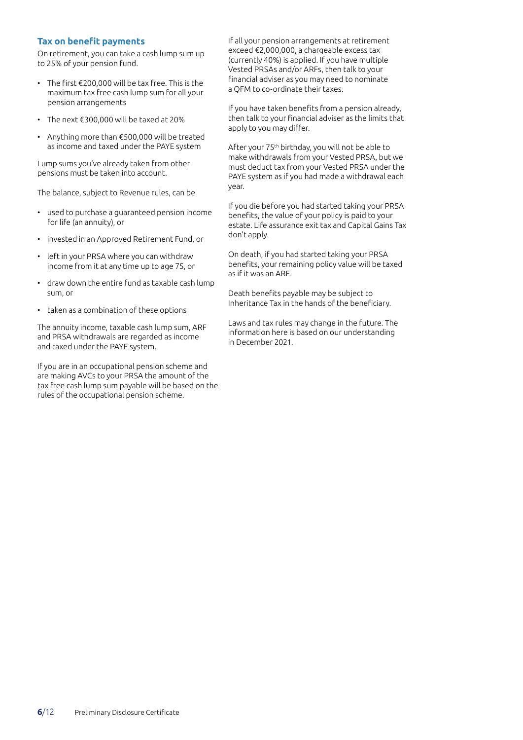#### **Tax on benefit payments**

On retirement, you can take a cash lump sum up to 25% of your pension fund.

- The first €200,000 will be tax free. This is the maximum tax free cash lump sum for all your pension arrangements
- The next €300,000 will be taxed at 20%
- Anything more than €500,000 will be treated as income and taxed under the PAYE system

Lump sums you've already taken from other pensions must be taken into account.

The balance, subject to Revenue rules, can be

- used to purchase a guaranteed pension income for life (an annuity), or
- invested in an Approved Retirement Fund, or
- left in your PRSA where you can withdraw income from it at any time up to age 75, or
- draw down the entire fund as taxable cash lump sum, or
- taken as a combination of these options

The annuity income, taxable cash lump sum, ARF and PRSA withdrawals are regarded as income and taxed under the PAYE system.

If you are in an occupational pension scheme and are making AVCs to your PRSA the amount of the tax free cash lump sum payable will be based on the rules of the occupational pension scheme.

If all your pension arrangements at retirement exceed €2,000,000, a chargeable excess tax (currently 40%) is applied. If you have multiple Vested PRSAs and/or ARFs, then talk to your financial adviser as you may need to nominate a QFM to co-ordinate their taxes.

If you have taken benefits from a pension already, then talk to your financial adviser as the limits that apply to you may differ.

After your 75th birthday, you will not be able to make withdrawals from your Vested PRSA, but we must deduct tax from your Vested PRSA under the PAYE system as if you had made a withdrawal each year.

If you die before you had started taking your PRSA benefits, the value of your policy is paid to your estate. Life assurance exit tax and Capital Gains Tax don't apply.

On death, if you had started taking your PRSA benefits, your remaining policy value will be taxed as if it was an ARF.

Death benefits payable may be subject to Inheritance Tax in the hands of the beneficiary.

Laws and tax rules may change in the future. The information here is based on our understanding in December 2021.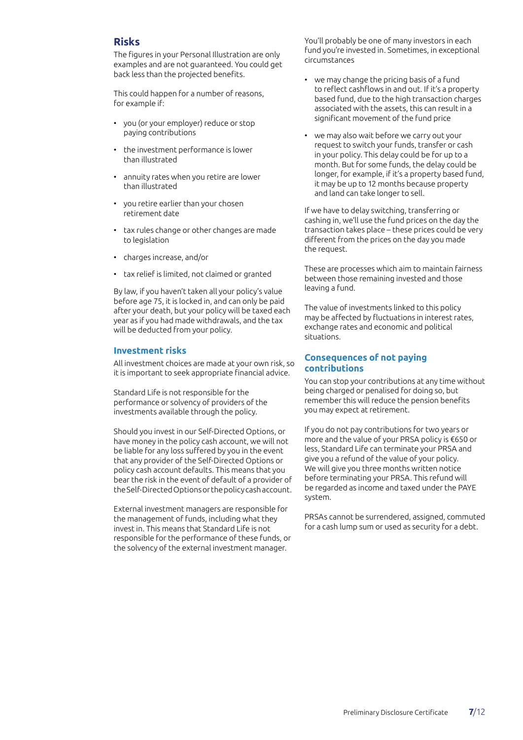#### **Risks**

The figures in your Personal Illustration are only examples and are not guaranteed. You could get back less than the projected benefits.

This could happen for a number of reasons, for example if:

- you (or your employer) reduce or stop paying contributions
- the investment performance is lower than illustrated
- annuity rates when you retire are lower than illustrated
- you retire earlier than your chosen retirement date
- tax rules change or other changes are made to legislation
- charges increase, and/or
- tax relief is limited, not claimed or granted

By law, if you haven't taken all your policy's value before age 75, it is locked in, and can only be paid after your death, but your policy will be taxed each year as if you had made withdrawals, and the tax will be deducted from your policy.

#### **Investment risks**

All investment choices are made at your own risk, so it is important to seek appropriate financial advice.

Standard Life is not responsible for the performance or solvency of providers of the investments available through the policy.

Should you invest in our Self-Directed Options, or have money in the policy cash account, we will not be liable for any loss suffered by you in the event that any provider of the Self-Directed Options or policy cash account defaults. This means that you bear the risk in the event of default of a provider of the Self-Directed Options or the policy cash account.

External investment managers are responsible for the management of funds, including what they invest in. This means that Standard Life is not responsible for the performance of these funds, or the solvency of the external investment manager.

You'll probably be one of many investors in each fund you're invested in. Sometimes, in exceptional circumstances

- we may change the pricing basis of a fund to reflect cashflows in and out. If it's a property based fund, due to the high transaction charges associated with the assets, this can result in a significant movement of the fund price
- we may also wait before we carry out your request to switch your funds, transfer or cash in your policy. This delay could be for up to a month. But for some funds, the delay could be longer, for example, if it's a property based fund, it may be up to 12 months because property and land can take longer to sell.

If we have to delay switching, transferring or cashing in, we'll use the fund prices on the day the transaction takes place – these prices could be very different from the prices on the day you made the request.

These are processes which aim to maintain fairness between those remaining invested and those leaving a fund.

The value of investments linked to this policy may be affected by fluctuations in interest rates, exchange rates and economic and political situations.

#### **Consequences of not paying contributions**

You can stop your contributions at any time without being charged or penalised for doing so, but remember this will reduce the pension benefits you may expect at retirement.

If you do not pay contributions for two years or more and the value of your PRSA policy is €650 or less, Standard Life can terminate your PRSA and give you a refund of the value of your policy. We will give you three months written notice before terminating your PRSA. This refund will be regarded as income and taxed under the PAYE system.

PRSAs cannot be surrendered, assigned, commuted for a cash lump sum or used as security for a debt.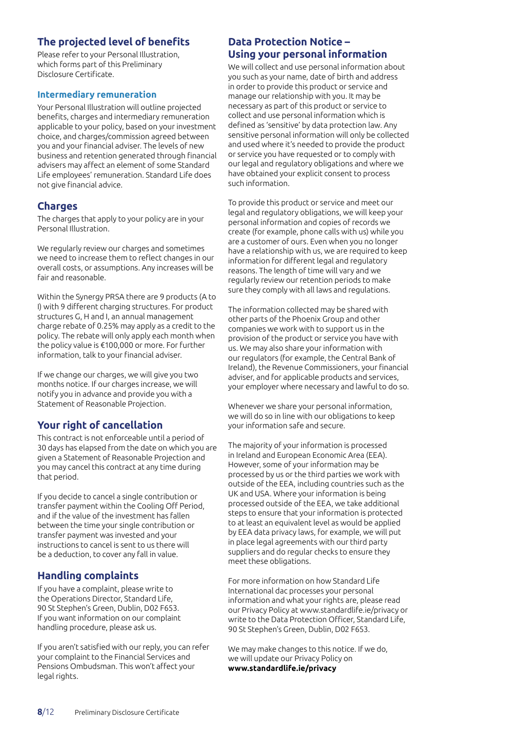## **The projected level of benefits**

Please refer to your Personal Illustration, which forms part of this Preliminary Disclosure Certificate.

#### **Intermediary remuneration**

Your Personal Illustration will outline projected benefits, charges and intermediary remuneration applicable to your policy, based on your investment choice, and charges/commission agreed between you and your financial adviser. The levels of new business and retention generated through financial advisers may affect an element of some Standard Life employees' remuneration. Standard Life does not give financial advice.

## **Charges**

The charges that apply to your policy are in your Personal Illustration.

We regularly review our charges and sometimes we need to increase them to reflect changes in our overall costs, or assumptions. Any increases will be fair and reasonable.

Within the Synergy PRSA there are 9 products (A to I) with 9 different charging structures. For product structures G, H and I, an annual management charge rebate of 0.25% may apply as a credit to the policy. The rebate will only apply each month when the policy value is €100,000 or more. For further information, talk to your financial adviser.

If we change our charges, we will give you two months notice. If our charges increase, we will notify you in advance and provide you with a Statement of Reasonable Projection.

## **Your right of cancellation**

This contract is not enforceable until a period of 30 days has elapsed from the date on which you are given a Statement of Reasonable Projection and you may cancel this contract at any time during that period.

If you decide to cancel a single contribution or transfer payment within the Cooling Off Period, and if the value of the investment has fallen between the time your single contribution or transfer payment was invested and your instructions to cancel is sent to us there will be a deduction, to cover any fall in value.

## **Handling complaints**

If you have a complaint, please write to the Operations Director, Standard Life, 90 St Stephen's Green, Dublin, D02 F653. If you want information on our complaint handling procedure, please ask us.

If you aren't satisfied with our reply, you can refer your complaint to the Financial Services and Pensions Ombudsman. This won't affect your legal rights.

## **Data Protection Notice – Using your personal information**

We will collect and use personal information about you such as your name, date of birth and address in order to provide this product or service and manage our relationship with you. It may be necessary as part of this product or service to collect and use personal information which is defined as 'sensitive' by data protection law. Any sensitive personal information will only be collected and used where it's needed to provide the product or service you have requested or to comply with our legal and regulatory obligations and where we have obtained your explicit consent to process such information.

To provide this product or service and meet our legal and regulatory obligations, we will keep your personal information and copies of records we create (for example, phone calls with us) while you are a customer of ours. Even when you no longer have a relationship with us, we are required to keep information for different legal and regulatory reasons. The length of time will vary and we regularly review our retention periods to make sure they comply with all laws and regulations.

The information collected may be shared with other parts of the Phoenix Group and other companies we work with to support us in the provision of the product or service you have with us. We may also share your information with our regulators (for example, the Central Bank of Ireland), the Revenue Commissioners, your financial adviser, and for applicable products and services, your employer where necessary and lawful to do so.

Whenever we share your personal information, we will do so in line with our obligations to keep your information safe and secure.

The majority of your information is processed in Ireland and European Economic Area (EEA). However, some of your information may be processed by us or the third parties we work with outside of the EEA, including countries such as the UK and USA. Where your information is being processed outside of the EEA, we take additional steps to ensure that your information is protected to at least an equivalent level as would be applied by EEA data privacy laws, for example, we will put in place legal agreements with our third party suppliers and do regular checks to ensure they meet these obligations.

For more information on how Standard Life International dac processes your personal information and what your rights are, please read our Privacy Policy at www.standardlife.ie/privacy or write to the Data Protection Officer, Standard Life, 90 St Stephen's Green, Dublin, D02 F653.

We may make changes to this notice. If we do, we will update our Privacy Policy on **www.standardlife.ie/privacy**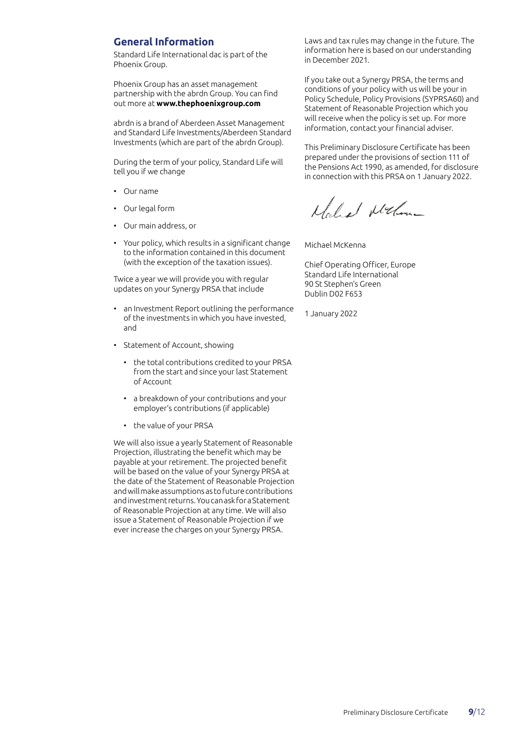#### **General Information**

Standard Life International dac is part of the Phoenix Group.

Phoenix Group has an asset management partnership with the abrdn Group. You can find out more at **www.thephoenixgroup.com**

abrdn is a brand of Aberdeen Asset Management and Standard Life Investments/Aberdeen Standard Investments (which are part of the abrdn Group).

During the term of your policy, Standard Life will tell you if we change

- Our name
- Our legal form
- Our main address, or
- Your policy, which results in a significant change to the information contained in this document (with the exception of the taxation issues).

Twice a year we will provide you with regular updates on your Synergy PRSA that include

- an Investment Report outlining the performance of the investments in which you have invested, and
- Statement of Account, showing
	- the total contributions credited to your PRSA from the start and since your last Statement of Account
	- a breakdown of your contributions and your employer's contributions (if applicable)
	- the value of your PRSA

We will also issue a yearly Statement of Reasonable Projection, illustrating the benefit which may be payable at your retirement. The projected benefit will be based on the value of your Synergy PRSA at the date of the Statement of Reasonable Projection and will make assumptions as to future contributions and investment returns. You can ask for a Statement of Reasonable Projection at any time. We will also issue a Statement of Reasonable Projection if we ever increase the charges on your Synergy PRSA.

Laws and tax rules may change in the future. The information here is based on our understanding in December 2021.

If you take out a Synergy PRSA, the terms and conditions of your policy with us will be your in Policy Schedule, Policy Provisions (SYPRSA60) and Statement of Reasonable Projection which you will receive when the policy is set up. For more information, contact your financial adviser.

This Preliminary Disclosure Certificate has been prepared under the provisions of section 111 of the Pensions Act 1990, as amended, for disclosure in connection with this PRSA on 1 January 2022.

Noles Nelling

Michael McKenna

Chief Operating Officer, Europe Standard Life International 90 St Stephen's Green Dublin D02 F653

1 January 2022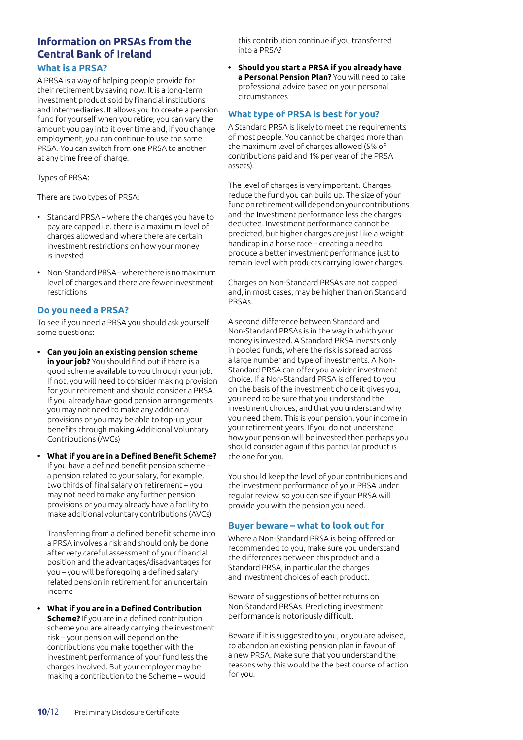## **Information on PRSAs from the Central Bank of Ireland**

#### **What is a PRSA?**

A PRSA is a way of helping people provide for their retirement by saving now. It is a long-term investment product sold by financial institutions and intermediaries. It allows you to create a pension fund for yourself when you retire; you can vary the amount you pay into it over time and, if you change employment, you can continue to use the same PRSA. You can switch from one PRSA to another at any time free of charge.

Types of PRSA:

There are two types of PRSA:

- Standard PRSA where the charges you have to pay are capped i.e. there is a maximum level of charges allowed and where there are certain investment restrictions on how your money is invested
- Non-Standard PRSA where there is no maximum level of charges and there are fewer investment restrictions

#### **Do you need a PRSA?**

To see if you need a PRSA you should ask yourself some questions:

- **• Can you join an existing pension scheme in your job?** You should find out if there is a good scheme available to you through your job. If not, you will need to consider making provision for your retirement and should consider a PRSA. If you already have good pension arrangements you may not need to make any additional provisions or you may be able to top-up your benefits through making Additional Voluntary Contributions (AVCs)
- **• What if you are in a Defined Benefit Scheme?** If you have a defined benefit pension scheme – a pension related to your salary, for example, two thirds of final salary on retirement – you may not need to make any further pension provisions or you may already have a facility to make additional voluntary contributions (AVCs)

Transferring from a defined benefit scheme into a PRSA involves a risk and should only be done after very careful assessment of your financial position and the advantages/disadvantages for you – you will be foregoing a defined salary related pension in retirement for an uncertain income

**• What if you are in a Defined Contribution Scheme?** If you are in a defined contribution scheme you are already carrying the investment risk – your pension will depend on the contributions you make together with the investment performance of your fund less the charges involved. But your employer may be making a contribution to the Scheme – would

this contribution continue if you transferred into a PRSA?

**• Should you start a PRSA if you already have a Personal Pension Plan?** You will need to take professional advice based on your personal circumstances

#### **What type of PRSA is best for you?**

A Standard PRSA is likely to meet the requirements of most people. You cannot be charged more than the maximum level of charges allowed (5% of contributions paid and 1% per year of the PRSA assets).

The level of charges is very important. Charges reduce the fund you can build up. The size of your fund on retirement will depend on your contributions and the Investment performance less the charges deducted. Investment performance cannot be predicted, but higher charges are just like a weight handicap in a horse race – creating a need to produce a better investment performance just to remain level with products carrying lower charges.

Charges on Non-Standard PRSAs are not capped and, in most cases, may be higher than on Standard PRSAs.

A second difference between Standard and Non-Standard PRSAs is in the way in which your money is invested. A Standard PRSA invests only in pooled funds, where the risk is spread across a large number and type of investments. A Non-Standard PRSA can offer you a wider investment choice. If a Non-Standard PRSA is offered to you on the basis of the investment choice it gives you, you need to be sure that you understand the investment choices, and that you understand why you need them. This is your pension, your income in your retirement years. If you do not understand how your pension will be invested then perhaps you should consider again if this particular product is the one for you.

You should keep the level of your contributions and the investment performance of your PRSA under regular review, so you can see if your PRSA will provide you with the pension you need.

#### **Buyer beware – what to look out for**

Where a Non-Standard PRSA is being offered or recommended to you, make sure you understand the differences between this product and a Standard PRSA, in particular the charges and investment choices of each product.

Beware of suggestions of better returns on Non-Standard PRSAs. Predicting investment performance is notoriously difficult.

Beware if it is suggested to you, or you are advised, to abandon an existing pension plan in favour of a new PRSA. Make sure that you understand the reasons why this would be the best course of action for you.